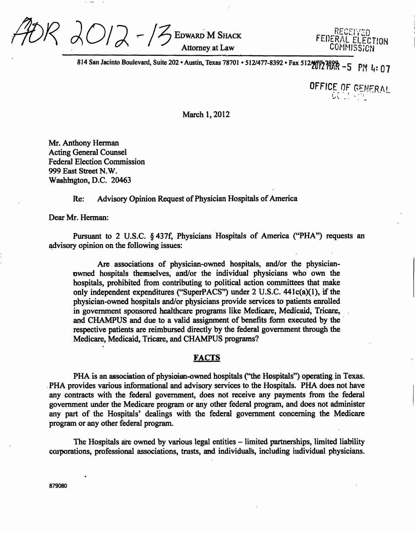

814 San Jacinto Boulevard, Suite 202 • Austin, Texas 78701 • 512/477-8392 • Fax 512/17 7899 - 5 PM 4: 07

*OFFICE OF GENERAL* 

March 1,2012

Mr. Anthony Herman Acting General Counsel **Federal Election Commission** 999 East Street N.W. Washington, D.C. 20463

# Re: Advisory Opinion Request of Physician Hospitals of America

Dear Mr. Herman:

Pursuant to 2 U.S.C. §437f, Physicians Hospitals of America ("PHA") requests an advisory opinion on the following issues:

Are associations of physician-owned hospitals, and/or the physicianowned hospitals themselves, and/or the individual physicians who own the hospitals, prohibited from contributing to political action committees that make only independent expenditures ("SuperPACS") under 2 U.S.C. 441c(a)(l), if the physician-owned hospitals and/or physicians provide services to patients enrolled in government sponsored healthcare programs like Medicare, Medicaid, Tricare, and CHAMPUS and due to a valid assignment of benefits form executed by the respective patients are reimbursed directly by the federal government through the Medicare, Medicaid, Tricare, and CHAMPUS programs?

# **FACTS**

PHA is an association of physician-owned hospitals ("the Hospitals") operating in Texas. PHA provides various informational and advisory services to the Hospitals. PHA does not have any contracts with the federal govemment, does not receive any payments from the federal govemment under the Medicare program or any other federal program, and does not administer any part of the Hospitals' dealings with the federal govemment conceming the Medicare program or any other federal program.

The Hospitals are owned by various legal entities – limited partnerships, limited liability corporations, professional associations, trusts, and individuals, including individual physicians.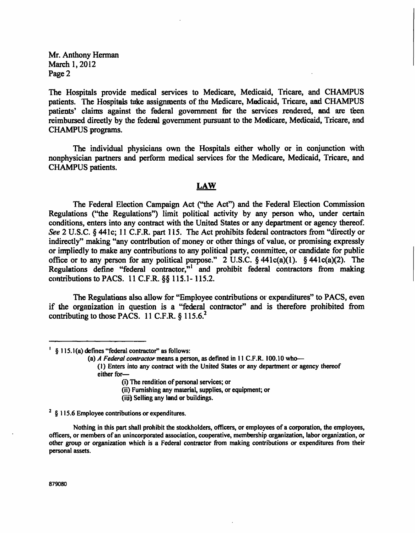**Mr. Anthony Herman March 1,2012 Page 2** 

**The Hospitals provide medical services to Medicare, Medicaid, Tricare, and CHAMPUS patients. The Hospitals take assignments of the Medicare, Medicaid, Tricare, and CHAMPUS**  patients' claims against the federal government for the services rendered, and are teen **reimbursed directly by the federal govemment pursuant to the Medicare, Medicaid, Tricare, and CHAMPUS programs.** 

**The individual physicians own the Hospitals either wholly or in conjunction with nonphysician partners and perform medical services for the Medicare, Medicaid, Tricare, and CHAMPUS patients.** 

# **LAW**

**The Federal Election Campaign Act ("the Act") and the Federal Election Commission Regulations ("the Regulations") limit political activity by any person who, under certain conditions, enters into any contract with the United States or any department or agency thereof. See 2 U.S.C. § 441c; 11 C.F.R. part 115. The Act prohibits federal contractors from "directly or indirectly" making "any contribution of money or other things of value, or promising expressly or impliedly to make any contributions to any political party, committee, or candidate for public office or to any person for any political purpose." 2 U.S.C. § 441c(a)(l). § 441c(a)(2). The Regulations define "federal contractor,"' and prohibit federal contractors from making contributions to PACS. 11 C.F.R. §§115.1-115.2.** 

**The Regulations also allow for "Employee contributions or expenditures" to PACS, even if the organization in question is a "federal contractor" and is therefore prohibited from contributing to those PACS. 11 C.F.R. § 115.6.^** 

- **(1) Enters into any contract with the United States or any department or agency thereof either for—** 
	- **(i) The rendition of personal services; or**
	- **(ii) Furnishing any material, supplies, or equipment; or**
	- **(iii) Selling any land or buildings.**

**^ § 115.6 Employee contributions or expenditures.** 

**<sup>&#</sup>x27; § 115.1 (a) defines "federal contractor" as follows:** 

**<sup>(</sup>a) A Federal contractor means a person, as defined in 11 C.F.R. 100.10 who—** 

Nothing in this part shall prohibit the stockholders, officers, or employees of a corporation, the employees, **officers, or members of an unincorporated association, cooperative, membership organization, labor organization, or other group or organization which is a Federal contractor irom making contributions or expenditures from their personal assets.**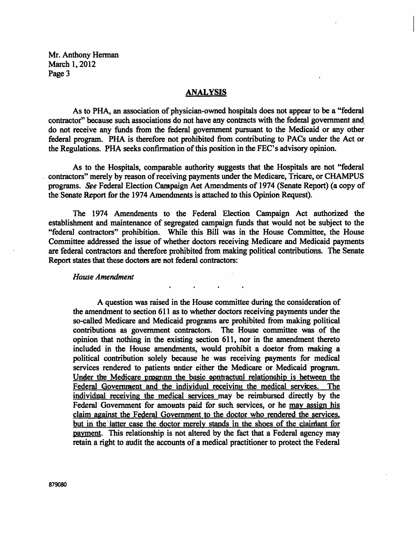**Mr. Anthony Herman March 1,2012 Page 3** 

# **ANALYSIS**

**As to PHA, an association of physician-owned hospitals does not appear to be a "federal contractor" because such associations do not have any contracts with the federal govemment and do not receive any funds from the federal govemment pursuant to the Medicaid or any other federal program. PHA is therefore not prohibited from contributing to PACs under the Act or the Regulations. PHA seeks confirmation of this position in the FEC's advisory opinion.** 

**As to the Hospitals, comparable authority suggests that the Hospitals are not "federal contractors" merely by reason of receiving payments under the Medicare, Tricare, or CHAMPUS programs. See Federal Election Campaign Act Amendments of 1974 (Senate Report) (a copy of the Senate Report for the 1974 Amendments is attached to this Opinion Request).** 

**The 1974 Amendments to the Federal Election Campaign Act authorized the establishment and maintenance of segregated campaign funds that would not be subject to the**  "federal contractors" prohibition. While this Bill was in the House Committee, the House **Committee addressed the issue of whether doctors receiving Medicare and Medicaid payments are federal contractors and therefore prohibited from making political contributions. The Senate Report states that these doctors are not federal contractors:** 

### *House Amendment*

**A question was raised in the House committee during the consideration of the amendment to section 611 as to whether doctors receiving payments under the so-called Medicare and Medicaid programs are prohibited from making political**  contributions as government contractors. **opinion that nothing in the existing section 611, nor in the amendment thereto included in the House amendments, would prohibit a doctor from making a political contribution solely because he was receiving payments for medical services rendered to patients under either the Medicare or Medicaid program.**  Under the Medicare program the basic contractual relationship is hetween the **Federal Govemment and the individual receiving the medical services. The individual receiving the medical services mav be reimbursed directly by the Federal Govemment for amounts paid for such services, or he mav assign his claim against the Federal Govemment to the doctor who rendered the services, but in the latter case the doctor merely stands in the shoes of the claimant for payment. This relationship is not altered by the fact that a Federal agency may retain a right to audit the accounts of a medical practitioner to protect the Federal**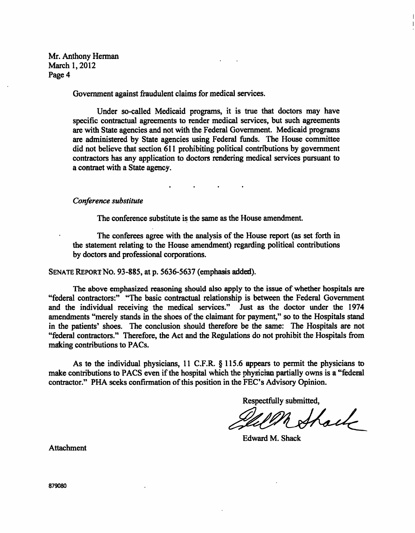**Mr. Anthony Herman March 1,2012 Page 4** 

**Govemment against fraudulent claims for medical services.** 

**Under so-called Medicaid programs, it is tme that doctors may have specific contractual agreements to render medical services, but such agreements are with State agencies and not with the Federal Government. Medicaid programs are administered by State agencies using Federal funds. The House committee did not believe that section 611 prohibiting political contributions by govemment contractors has any application to doctors rendering medical services pursuant to a contract with a State agency.** 

*Conference substitute* 

**The conference substitute is the same as the House amendment.** 

**The conferees agree with the analysis of the House report (as set forth in the statement relating to the House amendment) regarding political contributions by doctors and professional corporations.** 

**SENATE REPORT NO. 93-885, at p. 5636-5637 (emphasis added).** 

The above emphasized reasoning should also apply to the issue of whether hospitals are **"federal contractors:" "The basic contractual relationship is between the Federal Govemment and the individual receiving the medical services." Just as the doctor under the 1974 amendments "merely stands in the shoes of the claimant for payment," so to the Hospitals stand in the patients' shoes. The conclusion should therefore be the same: The Hospitals are not "federal contractors." Therefore, the Act and the Regulations do not prohibit the Hospitals from making contributions to PACs.** 

**As to the individual physicians, 11 C.F.R. § 115.6 appears to permit the physicians to make contributions to PACS even if the hospital which the physician partially owns is a "federal contractor." PHA seeks confirmation of this position in the FEC's Advisory Opinion.** 

**Respectfully submitted.** 

A Shael

**Edward M. Shack** 

**Attachment**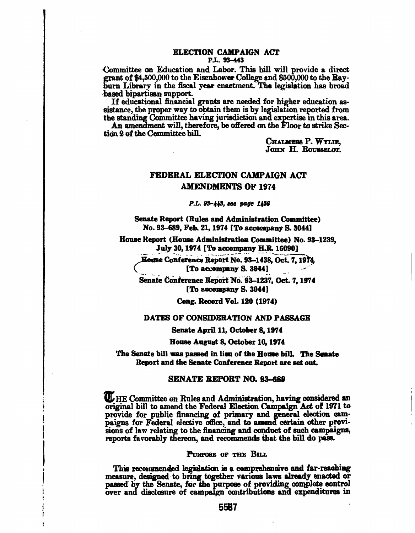### **ELECTION CAMPAIGN ACT P.L. 93-443**

**Committee on Education and Labor. This bill will provide a direct .grant of \$4,500,000 to the Eisenhower College and \$500,000 to the Bayibum Library in the fiscal year enactment. The legislation has broad based bipartisan support.** 

**If educational financial grants are needed for higher education assistance, the proper way to obtain them is by legislation reported from**  the standing Committee having jurisdiction and expertise in this area.

An amendment will, therefore, be offered on the Floor to strike Sec**tion 2 of the Committee bill.** 

> **CHALliERS P. WYUE,**  JOHN H. ROUSSELOT.

# **FEDERAL ELECTION CAMPAIGN ACT AMENDMENTS OF 1974**

*P.L. 93-443, see page 1436* 

**Senate Report (Rules and Administration Committee)**  No. 93–689, Feb. 21, 1974 [To accompany S. 3044]

**House Report (House Administration Committee) No. 93-1239, July 30,1974 [To accompany II.R. 16090]** 

**JSmne Conference Report No. 93-1438, Oct 7,19^ C [To accompany S. 3044]** 

**Senate Conference Report^b. 93-1237, Oct. 7,1974 [To accompany S. 3044]** 

**Cong. Record Vol. 120 (1974)** 

### **DATES OF CONSIDERATION AND PASSAGE**

**Senate April 11, October 8,1974** 

**House August 8, October 10,1974** 

**The Senate bill was passed in lieu of the House bilL The Senate Report and the Senate Conference Report are set out.** 

### **SENATE REPORT NO. 93-689**

**Committee on Rules and Administration, having considered sn original bill to amend the Federal Election Campaign Act of 1971 to**  provide for public financing of primary and general election cam**paigns for Federal elective office, and to amend certain other provisions of law rdating to the financing and conduct of such campaigns,**  reports favorably thereon, and recommends that the bill do pass.

**PURPOSE OF TIIE BILL** 

**Tliis recommended legislation is a comprehensiye and far-reaching i measure, designed to bring together various laws already enacted or passed by the Senate, for the purpose of providing complete control I over and disclosure of campaign contributions and expenditures in** 

**r i**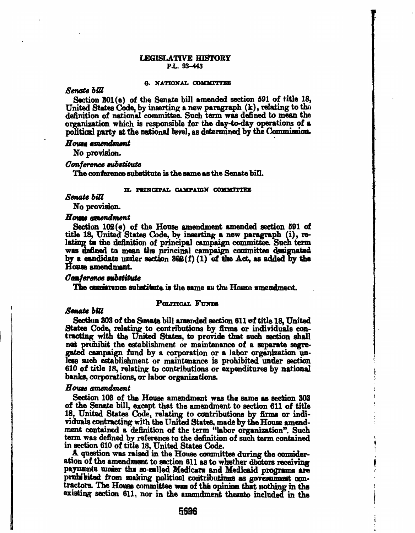### **LEGISLATIVE HISTORY P.L. 93-443**

#### **O. XATIOXAL COMMITTEE**

# *Sen/ate hiU*

**Section 301 (e) of the Senate bill amended section 591 of title 18, United States Code, by inserting a new paragraph (k), relating to the**  definition of national committee. Such term was defined to mean the organization which is responsible for the day-to-day operations of a political party at the national level, as determined by the Commission.

#### $\boldsymbol{H}$ ouss amendment

**No provision.** 

#### **Conference substitute**

**The conference substitute is the same as the Senate bill.** 

# **H. PRINCIPAL CAMPAIGN COMMITTEE**

# **Senate hUl**

**No provision.** 

#### *Howe amendment*

**Section 102 (e) of the House amendment amended section 591 of title 18, United States Code, by inserting a new paragraph (i), relating to the definition of principal campaign committee. Such term was defined to mean the principal campaign committee designated by a candidate under section 302(f) (1) of the Act, as added by the House amendment.** 

### Conference *eubstitute*

**The oonfeTence substitute is the same as the House amendment.** 

#### *Senate hiU*

## POLITICAL FUNDS

**Section 303 of the Senate bill amended section 611 of title 18, United States Code, relating to contributions by firms or individuals con**tracting with the United States, to provide that such section shall not prohibit the establishment or maintenance of a separate segre**gated campaign fund by a corporation or a labor organization un**less such establishment or maintenance is prohibited under section **610 of title 18, relating to contributions or expenditures by national banks, corporations, or labor organizations.** 

## *Houee amendment*

**Section 103 of the House amendment was the same as section 303 of the Senate bill, except that the amendment to section 611 of title 18, United Stetes Code, relating to contributions by firms or individuals contracting with the United States, made by the House amendment contained a definition of the term "labor organization". Such term was defined by reference to the definition of such term conteined in section 610 of titie 18, United Stetes Code.** 

**A question was raised in the House committee during the consideration of the amendment to section 611 as to whether doctors receiving payments under the so-called Medicare and Medicaid programs are**  prohibited from making political contributions as government con**tractors. The House committee was of the opinion that nothing in the**  existing section 611, nor in the amendment thereto included in the